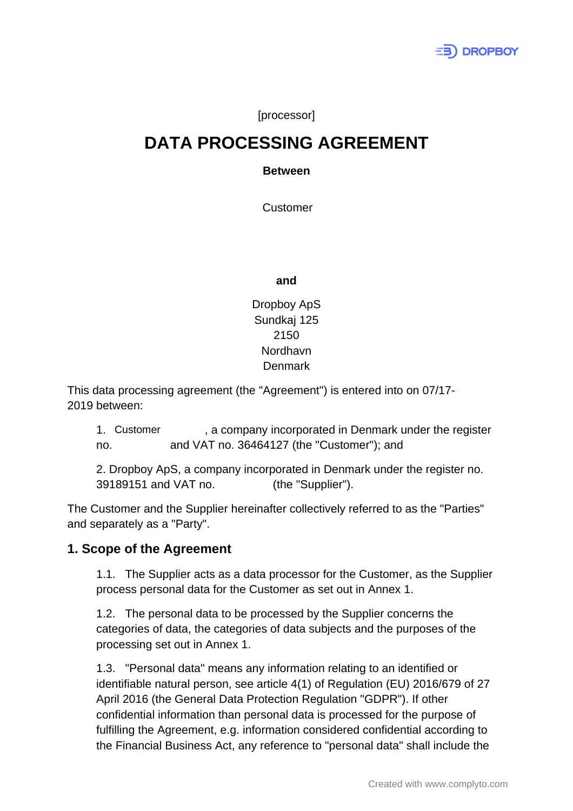

[processor]

# **DATA PROCESSING AGREEMENT**

#### **Between**

**Customer** 

**and**

## Dropboy ApS Sundkaj 125 2150 Nordhavn Denmark

This data processing agreement (the "Agreement") is entered into on 07/17- 2019 between:

, a company incorporated in Denmark under the register no. and VAT no. 36464127 (the "Customer"); and 1. Customer

2. Dropboy ApS, a company incorporated in Denmark under the register no. 39189151 and VAT no. 39189151 (the "Supplier").

The Customer and the Supplier hereinafter collectively referred to as the "Parties" and separately as a "Party".

## **1. Scope of the Agreement**

1.1. The Supplier acts as a data processor for the Customer, as the Supplier process personal data for the Customer as set out in Annex 1.

1.2. The personal data to be processed by the Supplier concerns the categories of data, the categories of data subjects and the purposes of the processing set out in Annex 1.

1.3. "Personal data" means any information relating to an identified or identifiable natural person, see article 4(1) of Regulation (EU) 2016/679 of 27 April 2016 (the General Data Protection Regulation "GDPR"). If other confidential information than personal data is processed for the purpose of fulfilling the Agreement, e.g. information considered confidential according to the Financial Business Act, any reference to "personal data" shall include the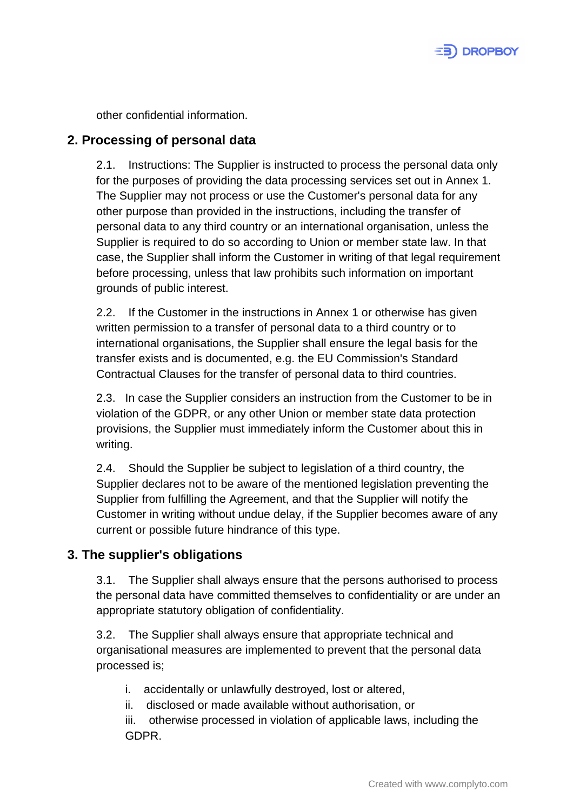

other confidential information.

## **2. Processing of personal data**

2.1. Instructions: The Supplier is instructed to process the personal data only for the purposes of providing the data processing services set out in Annex 1. The Supplier may not process or use the Customer's personal data for any other purpose than provided in the instructions, including the transfer of personal data to any third country or an international organisation, unless the Supplier is required to do so according to Union or member state law. In that case, the Supplier shall inform the Customer in writing of that legal requirement before processing, unless that law prohibits such information on important grounds of public interest.

2.2. If the Customer in the instructions in Annex 1 or otherwise has given written permission to a transfer of personal data to a third country or to international organisations, the Supplier shall ensure the legal basis for the transfer exists and is documented, e.g. the EU Commission's Standard Contractual Clauses for the transfer of personal data to third countries.

2.3. In case the Supplier considers an instruction from the Customer to be in violation of the GDPR, or any other Union or member state data protection provisions, the Supplier must immediately inform the Customer about this in writing.

2.4. Should the Supplier be subject to legislation of a third country, the Supplier declares not to be aware of the mentioned legislation preventing the Supplier from fulfilling the Agreement, and that the Supplier will notify the Customer in writing without undue delay, if the Supplier becomes aware of any current or possible future hindrance of this type.

## **3. The supplier's obligations**

3.1. The Supplier shall always ensure that the persons authorised to process the personal data have committed themselves to confidentiality or are under an appropriate statutory obligation of confidentiality.

3.2. The Supplier shall always ensure that appropriate technical and organisational measures are implemented to prevent that the personal data processed is;

i. accidentally or unlawfully destroyed, lost or altered,

ii. disclosed or made available without authorisation, or

iii. otherwise processed in violation of applicable laws, including the GDPR.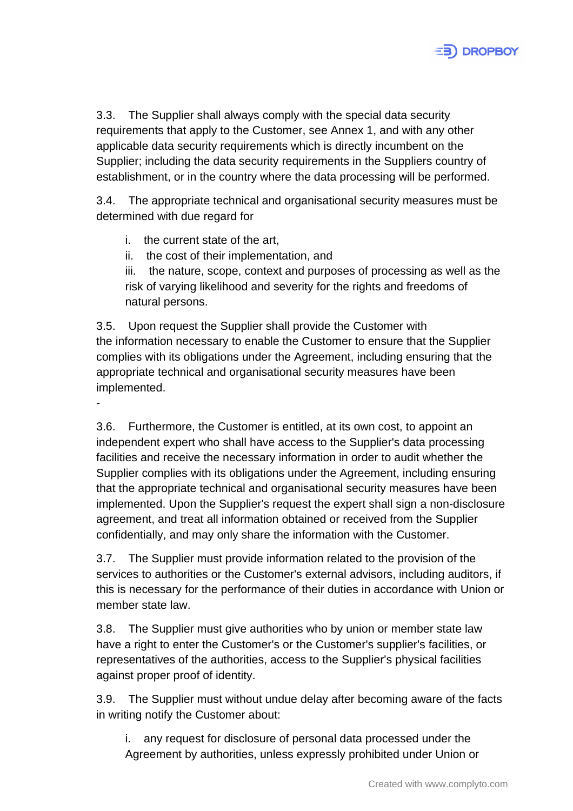

3.3. The Supplier shall always comply with the special data security requirements that apply to the Customer, see Annex 1, and with any other applicable data security requirements which is directly incumbent on the Supplier; including the data security requirements in the Suppliers country of establishment, or in the country where the data processing will be performed.

3.4. The appropriate technical and organisational security measures must be determined with due regard for

- i. the current state of the art,
- ii. the cost of their implementation, and

iii. the nature, scope, context and purposes of processing as well as the risk of varying likelihood and severity for the rights and freedoms of natural persons.

3.5. Upon request the Supplier shall provide the Customer with the information necessary to enable the Customer to ensure that the Supplier complies with its obligations under the Agreement, including ensuring that the appropriate technical and organisational security measures have been implemented.

-

3.6. Furthermore, the Customer is entitled, at its own cost, to appoint an independent expert who shall have access to the Supplier's data processing facilities and receive the necessary information in order to audit whether the Supplier complies with its obligations under the Agreement, including ensuring that the appropriate technical and organisational security measures have been implemented. Upon the Supplier's request the expert shall sign a non-disclosure agreement, and treat all information obtained or received from the Supplier confidentially, and may only share the information with the Customer.

3.7. The Supplier must provide information related to the provision of the services to authorities or the Customer's external advisors, including auditors, if this is necessary for the performance of their duties in accordance with Union or member state law.

3.8. The Supplier must give authorities who by union or member state law have a right to enter the Customer's or the Customer's supplier's facilities, or representatives of the authorities, access to the Supplier's physical facilities against proper proof of identity.

3.9. The Supplier must without undue delay after becoming aware of the facts in writing notify the Customer about:

i. any request for disclosure of personal data processed under the Agreement by authorities, unless expressly prohibited under Union or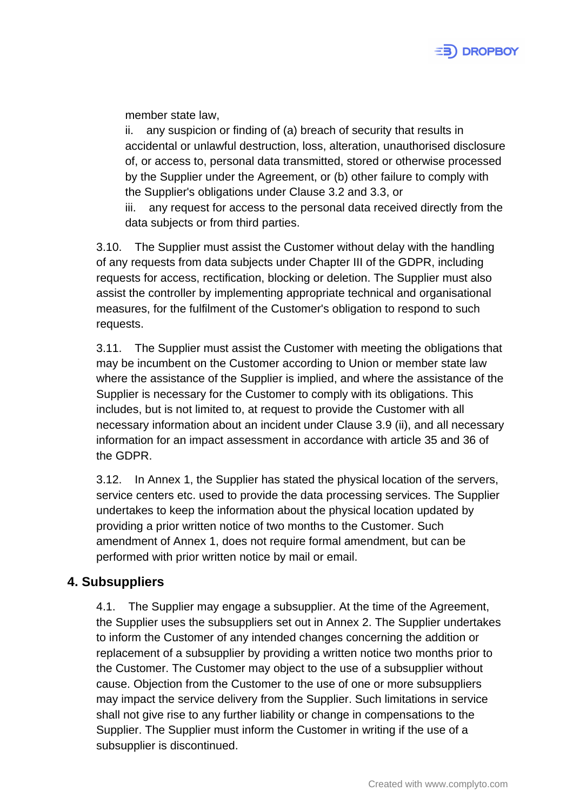

member state law,

ii. any suspicion or finding of (a) breach of security that results in accidental or unlawful destruction, loss, alteration, unauthorised disclosure of, or access to, personal data transmitted, stored or otherwise processed by the Supplier under the Agreement, or (b) other failure to comply with the Supplier's obligations under Clause 3.2 and 3.3, or

iii. any request for access to the personal data received directly from the data subjects or from third parties.

3.10. The Supplier must assist the Customer without delay with the handling of any requests from data subjects under Chapter III of the GDPR, including requests for access, rectification, blocking or deletion. The Supplier must also assist the controller by implementing appropriate technical and organisational measures, for the fulfilment of the Customer's obligation to respond to such requests.

3.11. The Supplier must assist the Customer with meeting the obligations that may be incumbent on the Customer according to Union or member state law where the assistance of the Supplier is implied, and where the assistance of the Supplier is necessary for the Customer to comply with its obligations. This includes, but is not limited to, at request to provide the Customer with all necessary information about an incident under Clause 3.9 (ii), and all necessary information for an impact assessment in accordance with article 35 and 36 of the GDPR.

3.12. In Annex 1, the Supplier has stated the physical location of the servers, service centers etc. used to provide the data processing services. The Supplier undertakes to keep the information about the physical location updated by providing a prior written notice of two months to the Customer. Such amendment of Annex 1, does not require formal amendment, but can be performed with prior written notice by mail or email.

## **4. Subsuppliers**

4.1. The Supplier may engage a subsupplier. At the time of the Agreement, the Supplier uses the subsuppliers set out in Annex 2. The Supplier undertakes to inform the Customer of any intended changes concerning the addition or replacement of a subsupplier by providing a written notice two months prior to the Customer. The Customer may object to the use of a subsupplier without cause. Objection from the Customer to the use of one or more subsuppliers may impact the service delivery from the Supplier. Such limitations in service shall not give rise to any further liability or change in compensations to the Supplier. The Supplier must inform the Customer in writing if the use of a subsupplier is discontinued.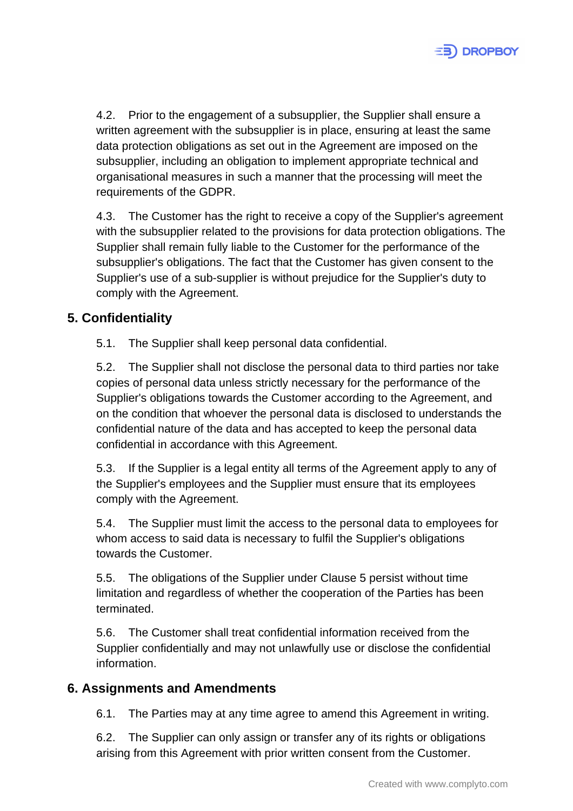

4.2. Prior to the engagement of a subsupplier, the Supplier shall ensure a written agreement with the subsupplier is in place, ensuring at least the same data protection obligations as set out in the Agreement are imposed on the subsupplier, including an obligation to implement appropriate technical and organisational measures in such a manner that the processing will meet the requirements of the GDPR.

4.3. The Customer has the right to receive a copy of the Supplier's agreement with the subsupplier related to the provisions for data protection obligations. The Supplier shall remain fully liable to the Customer for the performance of the subsupplier's obligations. The fact that the Customer has given consent to the Supplier's use of a sub-supplier is without prejudice for the Supplier's duty to comply with the Agreement.

## **5. Confidentiality**

5.1. The Supplier shall keep personal data confidential.

5.2. The Supplier shall not disclose the personal data to third parties nor take copies of personal data unless strictly necessary for the performance of the Supplier's obligations towards the Customer according to the Agreement, and on the condition that whoever the personal data is disclosed to understands the confidential nature of the data and has accepted to keep the personal data confidential in accordance with this Agreement.

5.3. If the Supplier is a legal entity all terms of the Agreement apply to any of the Supplier's employees and the Supplier must ensure that its employees comply with the Agreement.

5.4. The Supplier must limit the access to the personal data to employees for whom access to said data is necessary to fulfil the Supplier's obligations towards the Customer.

5.5. The obligations of the Supplier under Clause 5 persist without time limitation and regardless of whether the cooperation of the Parties has been terminated.

5.6. The Customer shall treat confidential information received from the Supplier confidentially and may not unlawfully use or disclose the confidential information.

## **6. Assignments and Amendments**

6.1. The Parties may at any time agree to amend this Agreement in writing.

6.2. The Supplier can only assign or transfer any of its rights or obligations arising from this Agreement with prior written consent from the Customer.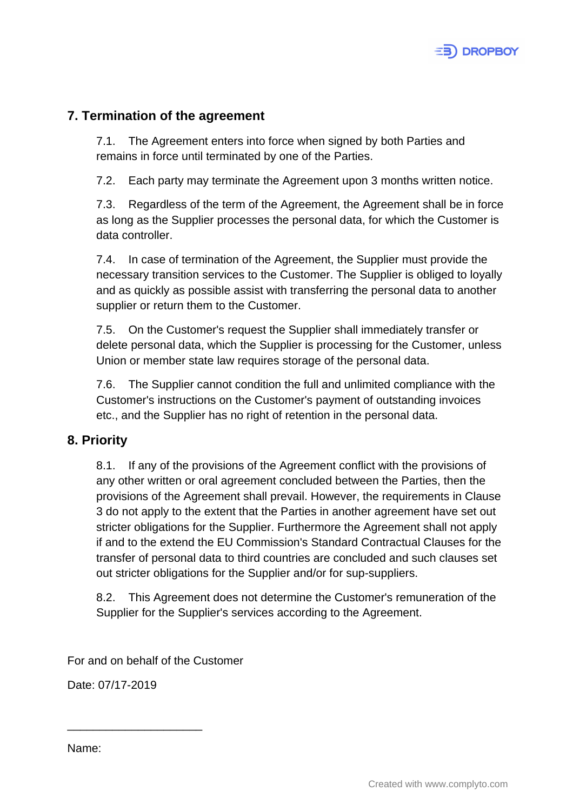

## **7. Termination of the agreement**

7.1. The Agreement enters into force when signed by both Parties and remains in force until terminated by one of the Parties.

7.2. Each party may terminate the Agreement upon 3 months written notice.

7.3. Regardless of the term of the Agreement, the Agreement shall be in force as long as the Supplier processes the personal data, for which the Customer is data controller.

7.4. In case of termination of the Agreement, the Supplier must provide the necessary transition services to the Customer. The Supplier is obliged to loyally and as quickly as possible assist with transferring the personal data to another supplier or return them to the Customer.

7.5. On the Customer's request the Supplier shall immediately transfer or delete personal data, which the Supplier is processing for the Customer, unless Union or member state law requires storage of the personal data.

7.6. The Supplier cannot condition the full and unlimited compliance with the Customer's instructions on the Customer's payment of outstanding invoices etc., and the Supplier has no right of retention in the personal data.

## **8. Priority**

8.1. If any of the provisions of the Agreement conflict with the provisions of any other written or oral agreement concluded between the Parties, then the provisions of the Agreement shall prevail. However, the requirements in Clause 3 do not apply to the extent that the Parties in another agreement have set out stricter obligations for the Supplier. Furthermore the Agreement shall not apply if and to the extend the EU Commission's Standard Contractual Clauses for the transfer of personal data to third countries are concluded and such clauses set out stricter obligations for the Supplier and/or for sup-suppliers.

8.2. This Agreement does not determine the Customer's remuneration of the Supplier for the Supplier's services according to the Agreement.

For and on behalf of the Customer

Date: 07/17-2019

\_\_\_\_\_\_\_\_\_\_\_\_\_\_\_\_\_\_\_\_\_

Name: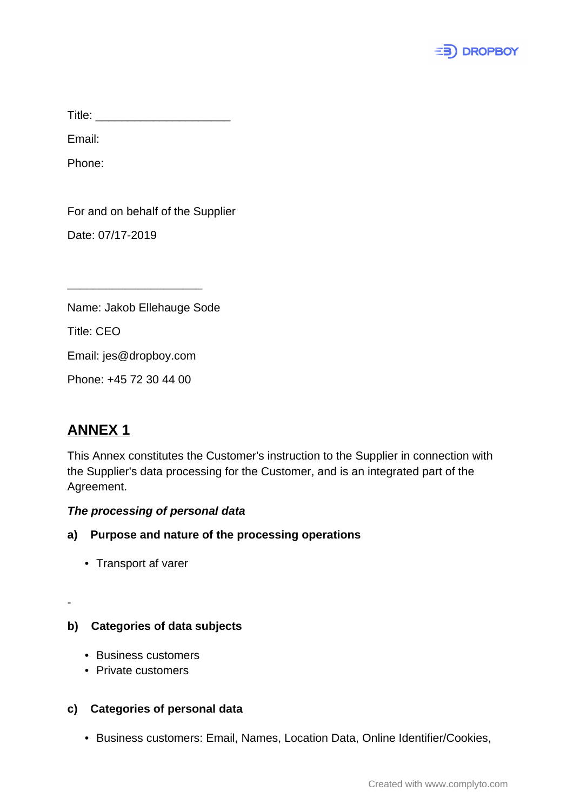

Title: \_\_\_\_\_\_\_\_\_\_\_\_\_\_\_\_\_\_\_\_\_

Email:

Phone:

For and on behalf of the Supplier

Date: 07/17-2019

Name: Jakob Ellehauge Sode

\_\_\_\_\_\_\_\_\_\_\_\_\_\_\_\_\_\_\_\_\_

Title: CEO

Email: jes@dropboy.com

Phone: +45 72 30 44 00

# **ANNEX 1**

-

This Annex constitutes the Customer's instruction to the Supplier in connection with the Supplier's data processing for the Customer, and is an integrated part of the Agreement.

#### **The processing of personal data**

- **a) Purpose and nature of the processing operations**
	- Transport af varer

## **b) Categories of data subjects**

- Business customers
- Private customers

## **c) Categories of personal data**

• Business customers: Email, Names, Location Data, Online Identifier/Cookies,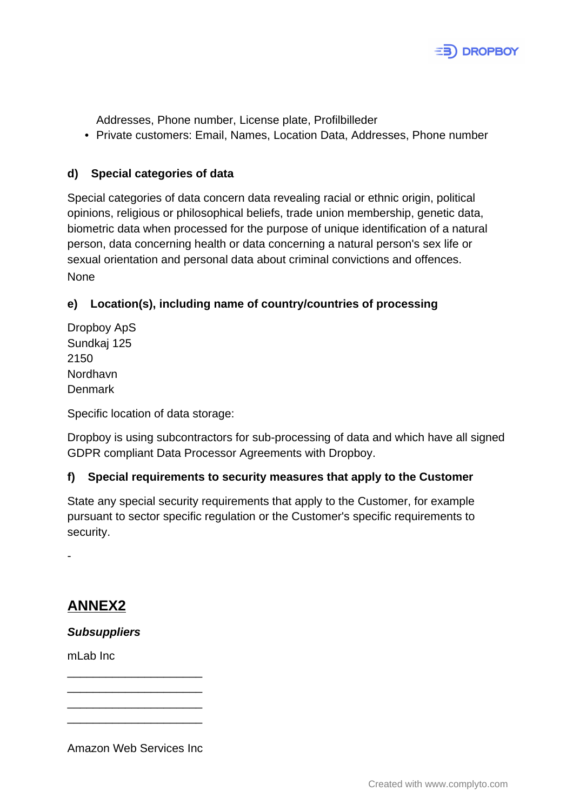

Addresses, Phone number, License plate, Profilbilleder

• Private customers: Email, Names, Location Data, Addresses, Phone number

#### **d) Special categories of data**

Special categories of data concern data revealing racial or ethnic origin, political opinions, religious or philosophical beliefs, trade union membership, genetic data, biometric data when processed for the purpose of unique identification of a natural person, data concerning health or data concerning a natural person's sex life or sexual orientation and personal data about criminal convictions and offences. None

## **e) Location(s), including name of country/countries of processing**

Dropboy ApS Sundkaj 125 2150 Nordhavn Denmark

Specific location of data storage:

Dropboy is using subcontractors for sub-processing of data and which have all signed GDPR compliant Data Processor Agreements with Dropboy.

## **f) Special requirements to security measures that apply to the Customer**

State any special security requirements that apply to the Customer, for example pursuant to sector specific regulation or the Customer's specific requirements to security.

**ANNEX2**

-

**Subsuppliers**

mLab Inc

Amazon Web Services Inc

\_\_\_\_\_\_\_\_\_\_\_\_\_\_\_\_\_\_\_\_\_ \_\_\_\_\_\_\_\_\_\_\_\_\_\_\_\_\_\_\_\_\_ \_\_\_\_\_\_\_\_\_\_\_\_\_\_\_\_\_\_\_\_\_ \_\_\_\_\_\_\_\_\_\_\_\_\_\_\_\_\_\_\_\_\_